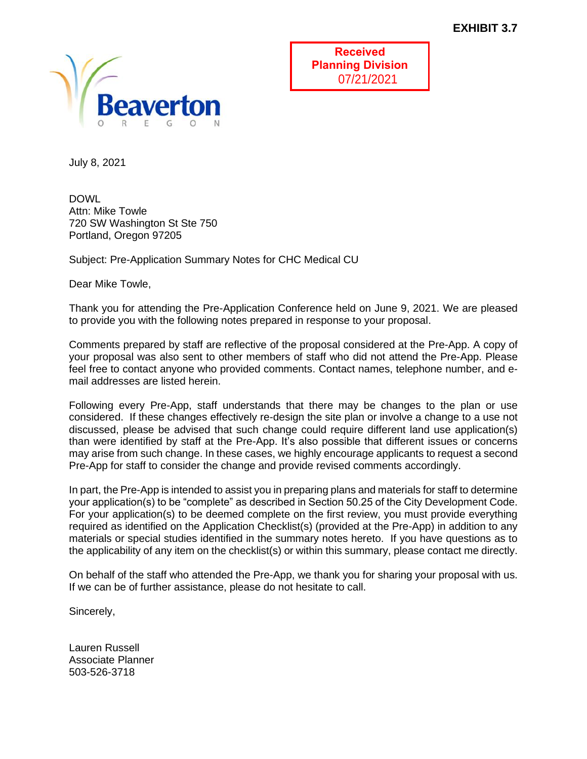

**Received Planning Division** 07/21/2021

July 8, 2021

DOWL Attn: Mike Towle 720 SW Washington St Ste 750 Portland, Oregon 97205

Subject: Pre-Application Summary Notes for CHC Medical CU

Dear Mike Towle,

Thank you for attending the Pre-Application Conference held on June 9, 2021. We are pleased to provide you with the following notes prepared in response to your proposal.

Comments prepared by staff are reflective of the proposal considered at the Pre-App. A copy of your proposal was also sent to other members of staff who did not attend the Pre-App. Please feel free to contact anyone who provided comments. Contact names, telephone number, and email addresses are listed herein.

Following every Pre-App, staff understands that there may be changes to the plan or use considered. If these changes effectively re-design the site plan or involve a change to a use not discussed, please be advised that such change could require different land use application(s) than were identified by staff at the Pre-App. It's also possible that different issues or concerns may arise from such change. In these cases, we highly encourage applicants to request a second Pre-App for staff to consider the change and provide revised comments accordingly.

In part, the Pre-App is intended to assist you in preparing plans and materials for staff to determine your application(s) to be "complete" as described in Section 50.25 of the City Development Code. For your application(s) to be deemed complete on the first review, you must provide everything required as identified on the Application Checklist(s) (provided at the Pre-App) in addition to any materials or special studies identified in the summary notes hereto. If you have questions as to the applicability of any item on the checklist(s) or within this summary, please contact me directly.

On behalf of the staff who attended the Pre-App, we thank you for sharing your proposal with us. If we can be of further assistance, please do not hesitate to call.

Sincerely,

Lauren Russell Associate Planner 503-526-3718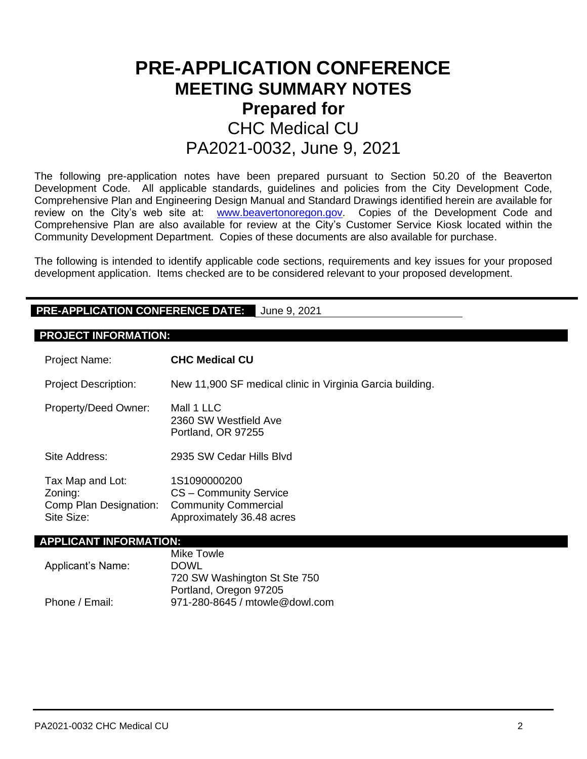# **PRE-APPLICATION CONFERENCE MEETING SUMMARY NOTES Prepared for**  CHC Medical CU PA2021-0032, June 9, 2021

The following pre-application notes have been prepared pursuant to Section 50.20 of the Beaverton Development Code. All applicable standards, guidelines and policies from the City Development Code, Comprehensive Plan and Engineering Design Manual and Standard Drawings identified herein are available for review on the City's web site at: [www.beavertonoregon.gov.](http://www.beavertonoregon.gov/) Copies of the Development Code and Comprehensive Plan are also available for review at the City's Customer Service Kiosk located within the Community Development Department. Copies of these documents are also available for purchase.

The following is intended to identify applicable code sections, requirements and key issues for your proposed development application. Items checked are to be considered relevant to your proposed development.

#### **PRE-APPLICATION CONFERENCE DATE:** June 9, 2021

#### **PROJECT INFORMATION:**

| Project Name:                                                       | <b>CHC Medical CU</b>                                                                              |  |  |  |
|---------------------------------------------------------------------|----------------------------------------------------------------------------------------------------|--|--|--|
| <b>Project Description:</b>                                         | New 11,900 SF medical clinic in Virginia Garcia building.                                          |  |  |  |
| Property/Deed Owner:                                                | Mall 1 LLC<br>2360 SW Westfield Ave<br>Portland, OR 97255                                          |  |  |  |
| Site Address:                                                       | 2935 SW Cedar Hills Blvd                                                                           |  |  |  |
| Tax Map and Lot:<br>Zoning:<br>Comp Plan Designation:<br>Site Size: | 1S1090000200<br>CS - Community Service<br><b>Community Commercial</b><br>Approximately 36.48 acres |  |  |  |
| APPLICANT INFORMATION:                                              |                                                                                                    |  |  |  |
|                                                                     | <b>Mike Towle</b>                                                                                  |  |  |  |

| <b>IVIIKE TOWIE</b>            |
|--------------------------------|
| <b>DOWL</b>                    |
| 720 SW Washington St Ste 750   |
| Portland, Oregon 97205         |
| 971-280-8645 / mtowle@dowl.com |
|                                |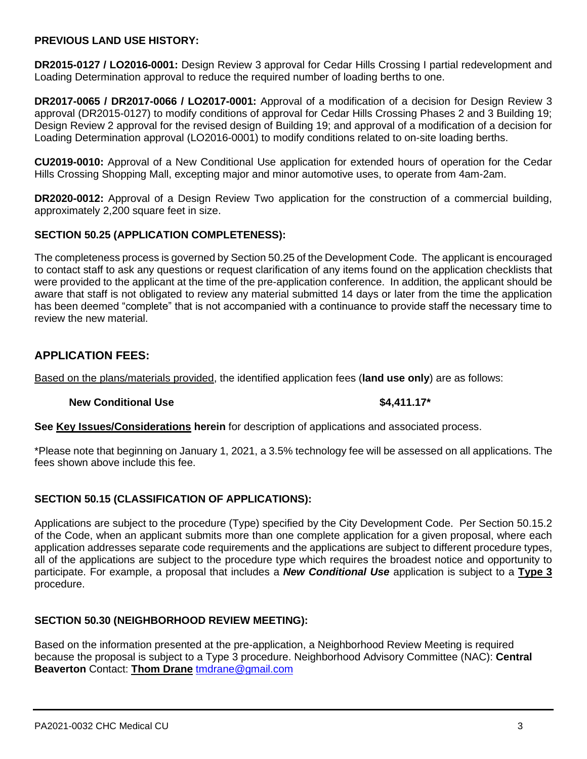#### **PREVIOUS LAND USE HISTORY:**

**DR2015-0127 / LO2016-0001:** Design Review 3 approval for Cedar Hills Crossing I partial redevelopment and Loading Determination approval to reduce the required number of loading berths to one.

**DR2017-0065 / DR2017-0066 / LO2017-0001:** Approval of a modification of a decision for Design Review 3 approval (DR2015-0127) to modify conditions of approval for Cedar Hills Crossing Phases 2 and 3 Building 19; Design Review 2 approval for the revised design of Building 19; and approval of a modification of a decision for Loading Determination approval (LO2016-0001) to modify conditions related to on-site loading berths.

**CU2019-0010:** Approval of a New Conditional Use application for extended hours of operation for the Cedar Hills Crossing Shopping Mall, excepting major and minor automotive uses, to operate from 4am-2am.

**DR2020-0012:** Approval of a Design Review Two application for the construction of a commercial building, approximately 2,200 square feet in size.

#### **SECTION 50.25 (APPLICATION COMPLETENESS):**

The completeness process is governed by Section 50.25 of the Development Code. The applicant is encouraged to contact staff to ask any questions or request clarification of any items found on the application checklists that were provided to the applicant at the time of the pre-application conference. In addition, the applicant should be aware that staff is not obligated to review any material submitted 14 days or later from the time the application has been deemed "complete" that is not accompanied with a continuance to provide staff the necessary time to review the new material.

# **APPLICATION FEES:**

Based on the plans/materials provided, the identified application fees (**land use only**) are as follows:

#### **New Conditional Use 1.411.17\* \$4.411.17\***

**See Key Issues/Considerations herein** for description of applications and associated process.

\*Please note that beginning on January 1, 2021, a 3.5% technology fee will be assessed on all applications. The fees shown above include this fee.

#### **SECTION 50.15 (CLASSIFICATION OF APPLICATIONS):**

Applications are subject to the procedure (Type) specified by the City Development Code. Per Section 50.15.2 of the Code, when an applicant submits more than one complete application for a given proposal, where each application addresses separate code requirements and the applications are subject to different procedure types, all of the applications are subject to the procedure type which requires the broadest notice and opportunity to participate. For example, a proposal that includes a *New Conditional Use* application is subject to a **Type 3** procedure.

#### **SECTION 50.30 (NEIGHBORHOOD REVIEW MEETING):**

Based on the information presented at the pre-application, a Neighborhood Review Meeting is required because the proposal is subject to a Type 3 procedure. Neighborhood Advisory Committee (NAC): **Central Beaverton** Contact: **Thom Drane** [tmdrane@gmail.com](mailto:tmdrane@gmail.com)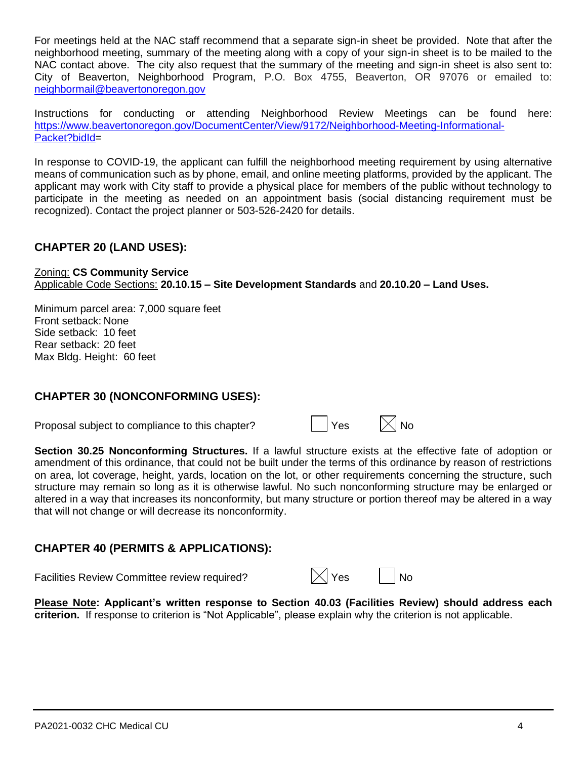For meetings held at the NAC staff recommend that a separate sign-in sheet be provided. Note that after the neighborhood meeting, summary of the meeting along with a copy of your sign-in sheet is to be mailed to the NAC contact above. The city also request that the summary of the meeting and sign-in sheet is also sent to: City of Beaverton, Neighborhood Program, P.O. Box 4755, Beaverton, OR 97076 or emailed to: [neighbormail@beavertonoregon.gov](mailto:neighbormail@beavertonoregon.gov)

Instructions for conducting or attending Neighborhood Review Meetings can be found here: [https://www.beavertonoregon.gov/DocumentCenter/View/9172/Neighborhood-Meeting-Informational-](https://www.beavertonoregon.gov/DocumentCenter/View/9172/Neighborhood-Meeting-Informational-Packet?bidId)[Packet?bidId=](https://www.beavertonoregon.gov/DocumentCenter/View/9172/Neighborhood-Meeting-Informational-Packet?bidId)

In response to COVID-19, the applicant can fulfill the neighborhood meeting requirement by using alternative means of communication such as by phone, email, and online meeting platforms, provided by the applicant. The applicant may work with City staff to provide a physical place for members of the public without technology to participate in the meeting as needed on an appointment basis (social distancing requirement must be recognized). Contact the project planner or 503-526-2420 for details.

# **CHAPTER 20 (LAND USES):**

Zoning: **CS Community Service** Applicable Code Sections: **20.10.15 – Site Development Standards** and **20.10.20 – Land Uses.**

Minimum parcel area: 7,000 square feet Front setback: None Side setback: 10 feet Rear setback: 20 feet Max Bldg. Height: 60 feet

### **CHAPTER 30 (NONCONFORMING USES):**

Proposal subject to compliance to this chapter?

| Yes | $\times$ l No |
|-----|---------------|
|-----|---------------|

**Section 30.25 Nonconforming Structures.** If a lawful structure exists at the effective fate of adoption or amendment of this ordinance, that could not be built under the terms of this ordinance by reason of restrictions on area, lot coverage, height, yards, location on the lot, or other requirements concerning the structure, such structure may remain so long as it is otherwise lawful. No such nonconforming structure may be enlarged or altered in a way that increases its nonconformity, but many structure or portion thereof may be altered in a way that will not change or will decrease its nonconformity.

# **CHAPTER 40 (PERMITS & APPLICATIONS):**

Facilities Review Committee review required?  $\boxtimes$  Yes  $\Box$  No

**Please Note: Applicant's written response to Section 40.03 (Facilities Review) should address each criterion.** If response to criterion is "Not Applicable", please explain why the criterion is not applicable.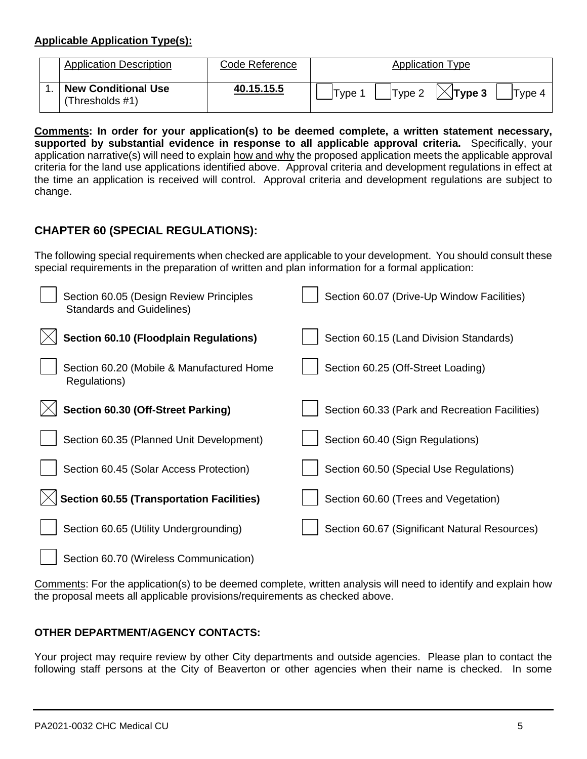#### **Applicable Application Type(s):**

| <b>Application Description</b>                | Code Reference | <b>Application Type</b>                          |
|-----------------------------------------------|----------------|--------------------------------------------------|
| <b>New Conditional Use</b><br>(Thresholds #1) | 40.15.15.5     | $ \times $ Type 3<br>'Type<br> Type 2 <br>Type 4 |

**Comments: In order for your application(s) to be deemed complete, a written statement necessary, supported by substantial evidence in response to all applicable approval criteria.** Specifically, your application narrative(s) will need to explain how and why the proposed application meets the applicable approval criteria for the land use applications identified above. Approval criteria and development regulations in effect at the time an application is received will control. Approval criteria and development regulations are subject to change.

# **CHAPTER 60 (SPECIAL REGULATIONS):**

The following special requirements when checked are applicable to your development. You should consult these special requirements in the preparation of written and plan information for a formal application:

| Section 60.05 (Design Review Principles<br><b>Standards and Guidelines)</b> | Section 60.07 (Drive-Up Window Facilities)     |
|-----------------------------------------------------------------------------|------------------------------------------------|
| <b>Section 60.10 (Floodplain Regulations)</b>                               | Section 60.15 (Land Division Standards)        |
| Section 60.20 (Mobile & Manufactured Home<br>Regulations)                   | Section 60.25 (Off-Street Loading)             |
| Section 60.30 (Off-Street Parking)                                          | Section 60.33 (Park and Recreation Facilities) |
| Section 60.35 (Planned Unit Development)                                    | Section 60.40 (Sign Regulations)               |
| Section 60.45 (Solar Access Protection)                                     | Section 60.50 (Special Use Regulations)        |
| <b>Section 60.55 (Transportation Facilities)</b>                            | Section 60.60 (Trees and Vegetation)           |
| Section 60.65 (Utility Undergrounding)                                      | Section 60.67 (Significant Natural Resources)  |
| Section 60.70 (Wireless Communication)                                      |                                                |

Comments: For the application(s) to be deemed complete, written analysis will need to identify and explain how the proposal meets all applicable provisions/requirements as checked above.

### **OTHER DEPARTMENT/AGENCY CONTACTS:**

Your project may require review by other City departments and outside agencies. Please plan to contact the following staff persons at the City of Beaverton or other agencies when their name is checked. In some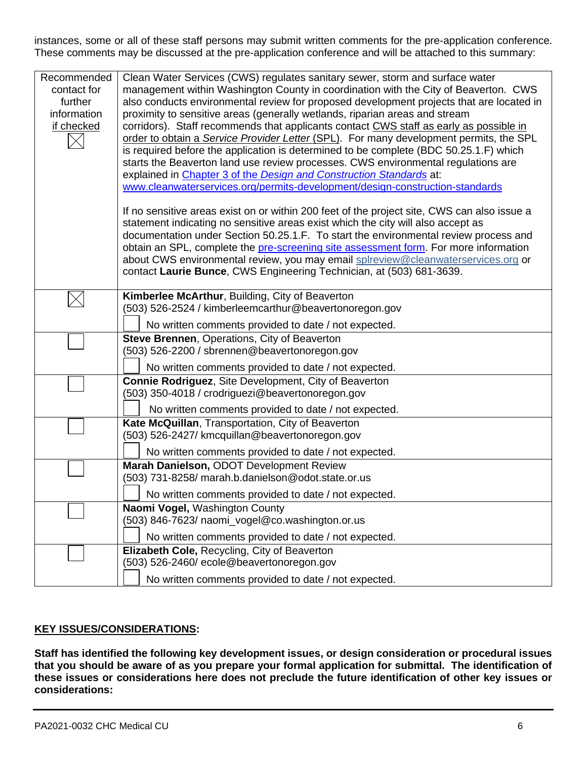instances, some or all of these staff persons may submit written comments for the pre-application conference. These comments may be discussed at the pre-application conference and will be attached to this summary:

| Recommended<br>contact for<br>further<br>information<br>if checked | Clean Water Services (CWS) regulates sanitary sewer, storm and surface water<br>management within Washington County in coordination with the City of Beaverton. CWS<br>also conducts environmental review for proposed development projects that are located in<br>proximity to sensitive areas (generally wetlands, riparian areas and stream<br>corridors). Staff recommends that applicants contact CWS staff as early as possible in<br>order to obtain a Service Provider Letter (SPL). For many development permits, the SPL<br>is required before the application is determined to be complete (BDC 50.25.1.F) which<br>starts the Beaverton land use review processes. CWS environmental regulations are<br>explained in Chapter 3 of the Design and Construction Standards at:<br>www.cleanwaterservices.org/permits-development/design-construction-standards<br>If no sensitive areas exist on or within 200 feet of the project site, CWS can also issue a<br>statement indicating no sensitive areas exist which the city will also accept as<br>documentation under Section 50.25.1.F. To start the environmental review process and<br>obtain an SPL, complete the pre-screening site assessment form. For more information<br>about CWS environmental review, you may email splreview@cleanwaterservices.org or<br>contact Laurie Bunce, CWS Engineering Technician, at (503) 681-3639. |
|--------------------------------------------------------------------|---------------------------------------------------------------------------------------------------------------------------------------------------------------------------------------------------------------------------------------------------------------------------------------------------------------------------------------------------------------------------------------------------------------------------------------------------------------------------------------------------------------------------------------------------------------------------------------------------------------------------------------------------------------------------------------------------------------------------------------------------------------------------------------------------------------------------------------------------------------------------------------------------------------------------------------------------------------------------------------------------------------------------------------------------------------------------------------------------------------------------------------------------------------------------------------------------------------------------------------------------------------------------------------------------------------------------------------------------------------------------------------------------------|
|                                                                    | Kimberlee McArthur, Building, City of Beaverton<br>(503) 526-2524 / kimberleemcarthur@beavertonoregon.gov                                                                                                                                                                                                                                                                                                                                                                                                                                                                                                                                                                                                                                                                                                                                                                                                                                                                                                                                                                                                                                                                                                                                                                                                                                                                                               |
|                                                                    | No written comments provided to date / not expected.                                                                                                                                                                                                                                                                                                                                                                                                                                                                                                                                                                                                                                                                                                                                                                                                                                                                                                                                                                                                                                                                                                                                                                                                                                                                                                                                                    |
|                                                                    | Steve Brennen, Operations, City of Beaverton                                                                                                                                                                                                                                                                                                                                                                                                                                                                                                                                                                                                                                                                                                                                                                                                                                                                                                                                                                                                                                                                                                                                                                                                                                                                                                                                                            |
|                                                                    | (503) 526-2200 / sbrennen@beavertonoregon.gov                                                                                                                                                                                                                                                                                                                                                                                                                                                                                                                                                                                                                                                                                                                                                                                                                                                                                                                                                                                                                                                                                                                                                                                                                                                                                                                                                           |
|                                                                    | No written comments provided to date / not expected.                                                                                                                                                                                                                                                                                                                                                                                                                                                                                                                                                                                                                                                                                                                                                                                                                                                                                                                                                                                                                                                                                                                                                                                                                                                                                                                                                    |
|                                                                    | Connie Rodriguez, Site Development, City of Beaverton<br>(503) 350-4018 / crodriguezi@beavertonoregon.gov                                                                                                                                                                                                                                                                                                                                                                                                                                                                                                                                                                                                                                                                                                                                                                                                                                                                                                                                                                                                                                                                                                                                                                                                                                                                                               |
|                                                                    | No written comments provided to date / not expected.                                                                                                                                                                                                                                                                                                                                                                                                                                                                                                                                                                                                                                                                                                                                                                                                                                                                                                                                                                                                                                                                                                                                                                                                                                                                                                                                                    |
|                                                                    | Kate McQuillan, Transportation, City of Beaverton                                                                                                                                                                                                                                                                                                                                                                                                                                                                                                                                                                                                                                                                                                                                                                                                                                                                                                                                                                                                                                                                                                                                                                                                                                                                                                                                                       |
|                                                                    | (503) 526-2427/ kmcquillan@beavertonoregon.gov                                                                                                                                                                                                                                                                                                                                                                                                                                                                                                                                                                                                                                                                                                                                                                                                                                                                                                                                                                                                                                                                                                                                                                                                                                                                                                                                                          |
|                                                                    | No written comments provided to date / not expected.                                                                                                                                                                                                                                                                                                                                                                                                                                                                                                                                                                                                                                                                                                                                                                                                                                                                                                                                                                                                                                                                                                                                                                                                                                                                                                                                                    |
|                                                                    | Marah Danielson, ODOT Development Review                                                                                                                                                                                                                                                                                                                                                                                                                                                                                                                                                                                                                                                                                                                                                                                                                                                                                                                                                                                                                                                                                                                                                                                                                                                                                                                                                                |
|                                                                    | (503) 731-8258/ marah.b.danielson@odot.state.or.us                                                                                                                                                                                                                                                                                                                                                                                                                                                                                                                                                                                                                                                                                                                                                                                                                                                                                                                                                                                                                                                                                                                                                                                                                                                                                                                                                      |
|                                                                    | No written comments provided to date / not expected.                                                                                                                                                                                                                                                                                                                                                                                                                                                                                                                                                                                                                                                                                                                                                                                                                                                                                                                                                                                                                                                                                                                                                                                                                                                                                                                                                    |
|                                                                    | Naomi Vogel, Washington County<br>(503) 846-7623/ naomi_vogel@co.washington.or.us                                                                                                                                                                                                                                                                                                                                                                                                                                                                                                                                                                                                                                                                                                                                                                                                                                                                                                                                                                                                                                                                                                                                                                                                                                                                                                                       |
|                                                                    |                                                                                                                                                                                                                                                                                                                                                                                                                                                                                                                                                                                                                                                                                                                                                                                                                                                                                                                                                                                                                                                                                                                                                                                                                                                                                                                                                                                                         |
|                                                                    | No written comments provided to date / not expected.<br>Elizabeth Cole, Recycling, City of Beaverton                                                                                                                                                                                                                                                                                                                                                                                                                                                                                                                                                                                                                                                                                                                                                                                                                                                                                                                                                                                                                                                                                                                                                                                                                                                                                                    |
|                                                                    | (503) 526-2460/ ecole@beavertonoregon.gov                                                                                                                                                                                                                                                                                                                                                                                                                                                                                                                                                                                                                                                                                                                                                                                                                                                                                                                                                                                                                                                                                                                                                                                                                                                                                                                                                               |
|                                                                    | No written comments provided to date / not expected.                                                                                                                                                                                                                                                                                                                                                                                                                                                                                                                                                                                                                                                                                                                                                                                                                                                                                                                                                                                                                                                                                                                                                                                                                                                                                                                                                    |
|                                                                    |                                                                                                                                                                                                                                                                                                                                                                                                                                                                                                                                                                                                                                                                                                                                                                                                                                                                                                                                                                                                                                                                                                                                                                                                                                                                                                                                                                                                         |

### **KEY ISSUES/CONSIDERATIONS:**

**Staff has identified the following key development issues, or design consideration or procedural issues that you should be aware of as you prepare your formal application for submittal. The identification of these issues or considerations here does not preclude the future identification of other key issues or considerations:**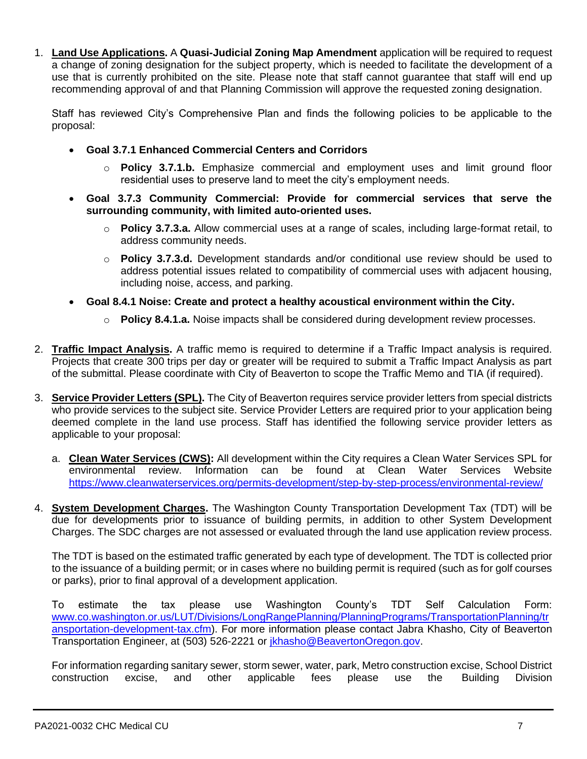1. **Land Use Applications.** A **Quasi-Judicial Zoning Map Amendment** application will be required to request a change of zoning designation for the subject property, which is needed to facilitate the development of a use that is currently prohibited on the site. Please note that staff cannot guarantee that staff will end up recommending approval of and that Planning Commission will approve the requested zoning designation.

Staff has reviewed City's Comprehensive Plan and finds the following policies to be applicable to the proposal:

- **Goal 3.7.1 Enhanced Commercial Centers and Corridors**
	- o **Policy 3.7.1.b.** Emphasize commercial and employment uses and limit ground floor residential uses to preserve land to meet the city's employment needs.
- **Goal 3.7.3 Community Commercial: Provide for commercial services that serve the surrounding community, with limited auto-oriented uses.**
	- o **Policy 3.7.3.a.** Allow commercial uses at a range of scales, including large-format retail, to address community needs.
	- o **Policy 3.7.3.d.** Development standards and/or conditional use review should be used to address potential issues related to compatibility of commercial uses with adjacent housing, including noise, access, and parking.
- **Goal 8.4.1 Noise: Create and protect a healthy acoustical environment within the City.**
	- o **Policy 8.4.1.a.** Noise impacts shall be considered during development review processes.
- 2. **Traffic Impact Analysis.** A traffic memo is required to determine if a Traffic Impact analysis is required. Projects that create 300 trips per day or greater will be required to submit a Traffic Impact Analysis as part of the submittal. Please coordinate with City of Beaverton to scope the Traffic Memo and TIA (if required).
- 3. **Service Provider Letters (SPL).** The City of Beaverton requires service provider letters from special districts who provide services to the subject site. Service Provider Letters are required prior to your application being deemed complete in the land use process. Staff has identified the following service provider letters as applicable to your proposal:
	- a. **Clean Water Services (CWS):** All development within the City requires a Clean Water Services SPL for environmental review. Information can be found at Clean Water Services Website <https://www.cleanwaterservices.org/permits-development/step-by-step-process/environmental-review/>
- 4. **System Development Charges.** The Washington County Transportation Development Tax (TDT) will be due for developments prior to issuance of building permits, in addition to other System Development Charges. The SDC charges are not assessed or evaluated through the land use application review process.

The TDT is based on the estimated traffic generated by each type of development. The TDT is collected prior to the issuance of a building permit; or in cases where no building permit is required (such as for golf courses or parks), prior to final approval of a development application.

To estimate the tax please use Washington County's TDT Self Calculation Form: [www.co.washington.or.us/LUT/Divisions/LongRangePlanning/PlanningPrograms/TransportationPlanning/tr](http://www.co.washington.or.us/LUT/Divisions/LongRangePlanning/PlanningPrograms/TransportationPlanning/transportation-development-tax.cfm) [ansportation-development-tax.cfm\)](http://www.co.washington.or.us/LUT/Divisions/LongRangePlanning/PlanningPrograms/TransportationPlanning/transportation-development-tax.cfm). For more information please contact Jabra Khasho, City of Beaverton Transportation Engineer, at (503) 526-2221 or [jkhasho@BeavertonOregon.gov.](file://///COBNAS2/CDD$/Transportation/Projects/Beaverton%20Development%20Review/PreApp%20Comments/2015%20PreApps/jkhasho@BeavertonOregon.gov)

For information regarding sanitary sewer, storm sewer, water, park, Metro construction excise, School District construction excise, and other applicable fees please use the Building Division